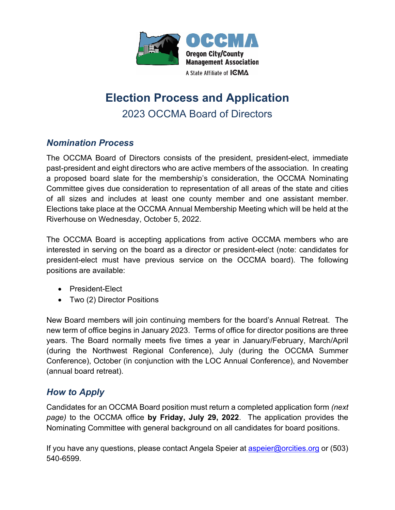

## **Election Process and Application**

2023 OCCMA Board of Directors

## *Nomination Process*

The OCCMA Board of Directors consists of the president, president-elect, immediate past-president and eight directors who are active members of the association. In creating a proposed board slate for the membership's consideration, the OCCMA Nominating Committee gives due consideration to representation of all areas of the state and cities of all sizes and includes at least one county member and one assistant member. Elections take place at the OCCMA Annual Membership Meeting which will be held at the Riverhouse on Wednesday, October 5, 2022.

The OCCMA Board is accepting applications from active OCCMA members who are interested in serving on the board as a director or president-elect (note: candidates for president-elect must have previous service on the OCCMA board). The following positions are available:

- President-Elect
- Two (2) Director Positions

New Board members will join continuing members for the board's Annual Retreat. The new term of office begins in January 2023. Terms of office for director positions are three years. The Board normally meets five times a year in January/February, March/April (during the Northwest Regional Conference), July (during the OCCMA Summer Conference), October (in conjunction with the LOC Annual Conference), and November (annual board retreat).

## *How to Apply*

Candidates for an OCCMA Board position must return a completed application form *(next page)* to the OCCMA office **by Friday, July 29, 2022**. The application provides the Nominating Committee with general background on all candidates for board positions.

If you have any questions, please contact Angela Speier at  $\frac{a}{\text{specifics}}$  or  $\frac{1}{2}$  or  $(503)$ 540-6599.